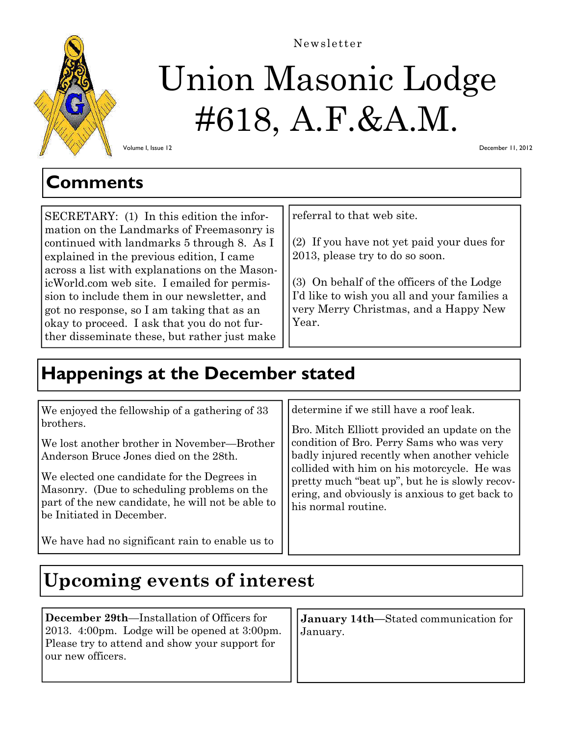

# Union Masonic Lodge #618, A.F.&A.M. Newsletter

Volume I, Issue 12

December 11, 2012

### **Comments**

SECRETARY: (1) In this edition the information on the Landmarks of Freemasonry is continued with landmarks 5 through 8. As I explained in the previous edition, I came across a list with explanations on the MasonicWorld.com web site. I emailed for permission to include them in our newsletter, and got no response, so I am taking that as an okay to proceed. I ask that you do not further disseminate these, but rather just make

referral to that web site.

(2) If you have not yet paid your dues for 2013, please try to do so soon.

(3) On behalf of the officers of the Lodge I'd like to wish you all and your families a very Merry Christmas, and a Happy New Year.

# **Happenings at the December stated**

| We enjoyed the fellowship of a gathering of 33    | determine if we still have a roof leak.        |
|---------------------------------------------------|------------------------------------------------|
| brothers.                                         | Bro. Mitch Elliott provided an update on the   |
| We lost another brother in November—Brother       | condition of Bro. Perry Sams who was very      |
| Anderson Bruce Jones died on the 28th.            | badly injured recently when another vehicle    |
| We elected one candidate for the Degrees in       | collided with him on his motorcycle. He was    |
| Masonry. (Due to scheduling problems on the       | pretty much "beat up", but he is slowly recov- |
| part of the new candidate, he will not be able to | ering, and obviously is anxious to get back to |
| be Initiated in December.                         | his normal routine.                            |
| We have had no significant rain to enable us to   |                                                |

# **Upcoming events of interest**

**December 29th**—Installation of Officers for 2013. 4:00pm. Lodge will be opened at 3:00pm. Please try to attend and show your support for our new officers.

**January 14th—**Stated communication for January.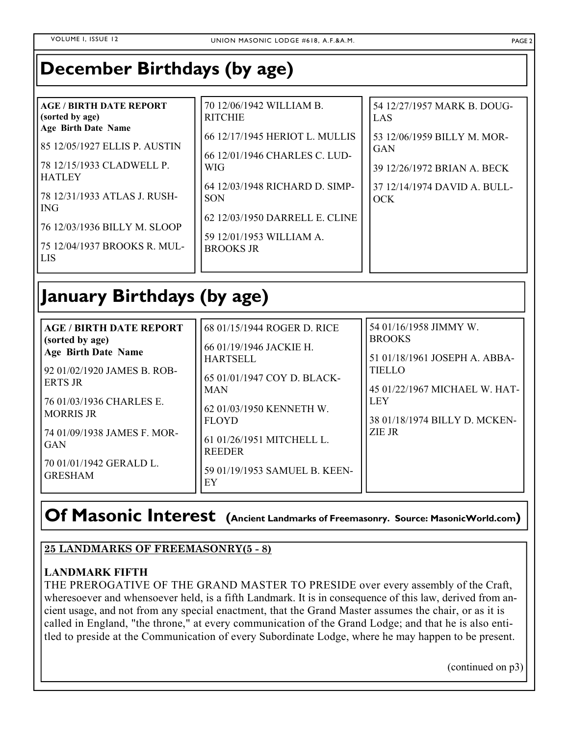## **December Birthdays (by age)**

| <b>AGE / BIRTH DATE REPORT</b><br>(sorted by age)<br><b>Age Birth Date Name</b><br>85 12/05/1927 ELLIS P. AUSTIN<br>78 12/15/1933 CLADWELL P.<br><b>HATLEY</b><br>78 12/31/1933 ATLAS J. RUSH-<br>l ING<br>76 12/03/1936 BILLY M. SLOOP<br>175 12/04/1937 BROOKS R. MUL-<br>l LIS | 70 12/06/1942 WILLIAM B.<br><b>RITCHIE</b><br>66 12/17/1945 HERIOT L. MULLIS<br>66 12/01/1946 CHARLES C. LUD-<br><b>WIG</b><br>64 12/03/1948 RICHARD D. SIMP-<br><b>SON</b><br>62 12/03/1950 DARRELL E. CLINE<br>59 12/01/1953 WILLIAM A.<br><b>BROOKS JR</b> | 54 12/27/1957 MARK B. DOUG-<br>LAS<br>53 12/06/1959 BILLY M. MOR-<br><b>GAN</b><br>39 12/26/1972 BRIAN A. BECK<br>37 12/14/1974 DAVID A. BULL-<br><b>OCK</b> |
|-----------------------------------------------------------------------------------------------------------------------------------------------------------------------------------------------------------------------------------------------------------------------------------|---------------------------------------------------------------------------------------------------------------------------------------------------------------------------------------------------------------------------------------------------------------|--------------------------------------------------------------------------------------------------------------------------------------------------------------|
|-----------------------------------------------------------------------------------------------------------------------------------------------------------------------------------------------------------------------------------------------------------------------------------|---------------------------------------------------------------------------------------------------------------------------------------------------------------------------------------------------------------------------------------------------------------|--------------------------------------------------------------------------------------------------------------------------------------------------------------|

# **January Birthdays (by age)**

| <b>AGE / BIRTH DATE REPORT</b><br>(sorted by age)<br><b>Age Birth Date Name</b><br>92 01/02/1920 JAMES B. ROB-<br><b>ERTS JR</b><br>76 01/03/1936 CHARLES E.<br><b>MORRIS JR</b><br>74 01/09/1938 JAMES F. MOR-<br>GAN | 68 01/15/1944 ROGER D. RICE<br>66 01/19/1946 JACKIE H.<br><b>HARTSELL</b><br>65 01/01/1947 COY D. BLACK-<br><b>MAN</b><br>62 01/03/1950 KENNETH W.<br><b>FLOYD</b><br>61 01/26/1951 MITCHELL L.<br><b>REEDER</b> | 54 01/16/1958 JIMMY W.<br><b>BROOKS</b><br>51 01/18/1961 JOSEPH A. ABBA-<br><b>TIELLO</b><br>45 01/22/1967 MICHAEL W. HAT-<br><b>LEY</b><br>38 01/18/1974 BILLY D. MCKEN-<br>ZIE JR |
|------------------------------------------------------------------------------------------------------------------------------------------------------------------------------------------------------------------------|------------------------------------------------------------------------------------------------------------------------------------------------------------------------------------------------------------------|-------------------------------------------------------------------------------------------------------------------------------------------------------------------------------------|
| 70 01/01/1942 GERALD L.<br><b>GRESHAM</b>                                                                                                                                                                              | 59 01/19/1953 SAMUEL B. KEEN-<br>EY                                                                                                                                                                              |                                                                                                                                                                                     |

# **Of Masonic Interest (Ancient Landmarks of Freemasonry. Source: MasonicWorld.com)**

#### **25 LANDMARKS OF FREEMASONRY(5 - 8)**

#### **LANDMARK FIFTH**

THE PREROGATIVE OF THE GRAND MASTER TO PRESIDE over every assembly of the Craft, wheresoever and whensoever held, is a fifth Landmark. It is in consequence of this law, derived from ancient usage, and not from any special enactment, that the Grand Master assumes the chair, or as it is called in England, "the throne," at every communication of the Grand Lodge; and that he is also entitled to preside at the Communication of every Subordinate Lodge, where he may happen to be present.

(continued on p3)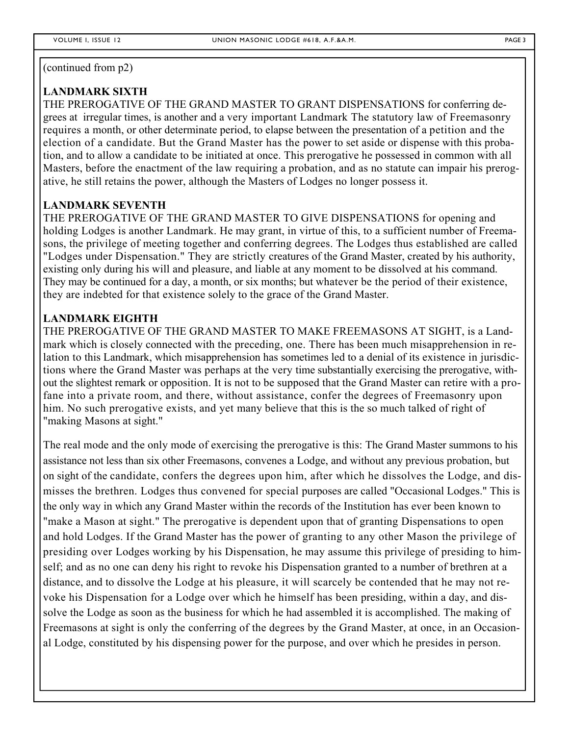(continued from p2)

#### **LANDMARK SIXTH**

THE PREROGATIVE OF THE GRAND MASTER TO GRANT DISPENSATIONS for conferring degrees at irregular times, is another and a very important Landmark The statutory law of Freemasonry requires a month, or other determinate period, to elapse between the presentation of a petition and the election of a candidate. But the Grand Master has the power to set aside or dispense with this probation, and to allow a candidate to be initiated at once. This prerogative he possessed in common with all Masters, before the enactment of the law requiring a probation, and as no statute can impair his prerogative, he still retains the power, although the Masters of Lodges no longer possess it.

#### **LANDMARK SEVENTH**

THE PREROGATIVE OF THE GRAND MASTER TO GIVE DISPENSATIONS for opening and holding Lodges is another Landmark. He may grant, in virtue of this, to a sufficient number of Freemasons, the privilege of meeting together and conferring degrees. The Lodges thus established are called "Lodges under Dispensation." They are strictly creatures of the Grand Master, created by his authority, existing only during his will and pleasure, and liable at any moment to be dissolved at his command. They may be continued for a day, a month, or six months; but whatever be the period of their existence, they are indebted for that existence solely to the grace of the Grand Master.

#### **LANDMARK EIGHTH**

THE PREROGATIVE OF THE GRAND MASTER TO MAKE FREEMASONS AT SIGHT, is a Landmark which is closely connected with the preceding, one. There has been much misapprehension in relation to this Landmark, which misapprehension has sometimes led to a denial of its existence in jurisdictions where the Grand Master was perhaps at the very time substantially exercising the prerogative, without the slightest remark or opposition. It is not to be supposed that the Grand Master can retire with a profane into a private room, and there, without assistance, confer the degrees of Freemasonry upon him. No such prerogative exists, and yet many believe that this is the so much talked of right of "making Masons at sight."

The real mode and the only mode of exercising the prerogative is this: The Grand Master summons to his assistance not less than six other Freemasons, convenes a Lodge, and without any previous probation, but on sight of the candidate, confers the degrees upon him, after which he dissolves the Lodge, and dismisses the brethren. Lodges thus convened for special purposes are called "Occasional Lodges." This is the only way in which any Grand Master within the records of the Institution has ever been known to "make a Mason at sight." The prerogative is dependent upon that of granting Dispensations to open and hold Lodges. If the Grand Master has the power of granting to any other Mason the privilege of presiding over Lodges working by his Dispensation, he may assume this privilege of presiding to himself; and as no one can deny his right to revoke his Dispensation granted to a number of brethren at a distance, and to dissolve the Lodge at his pleasure, it will scarcely be contended that he may not revoke his Dispensation for a Lodge over which he himself has been presiding, within a day, and dissolve the Lodge as soon as the business for which he had assembled it is accomplished. The making of Freemasons at sight is only the conferring of the degrees by the Grand Master, at once, in an Occasional Lodge, constituted by his dispensing power for the purpose, and over which he presides in person.